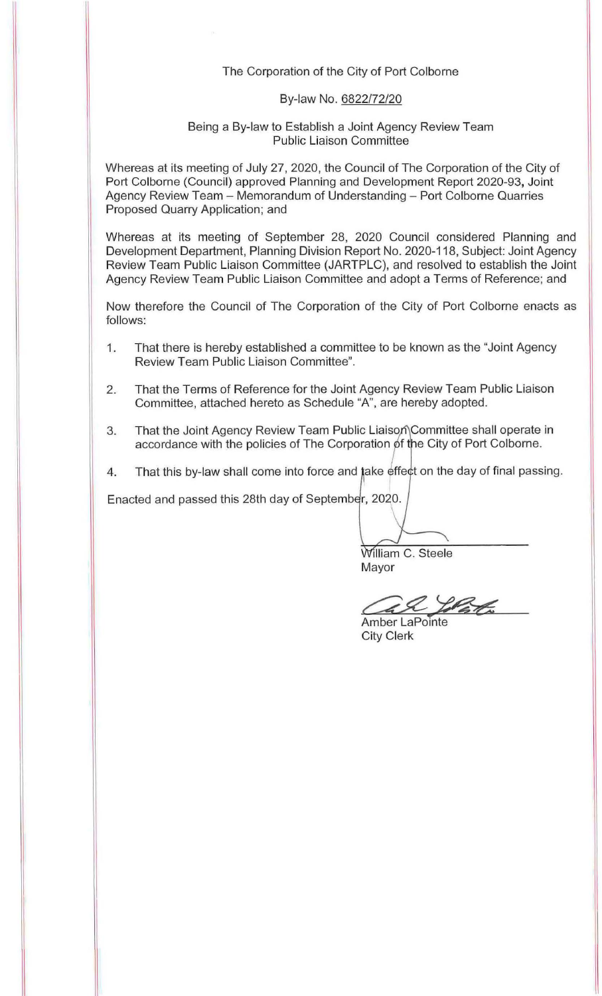#### The Corporation of the City of Port Colborne

#### By-law No. 6822/72/20

#### Being a By-law to Establish a Joint Agency Review Team Public Liaison Committee

Whereas at its meeting of July 27, 2020, the Council of The Corporation of the City of Port Colborne (Council) approved Planning and Development Report 2020-93, Joint Agency Review Team - Memorandum of Understanding - Port Colborne Quarries Proposed Quarry Application; and

Whereas at its meeting of September 28, 2020 Council considered Planning and Development Department, Planning Division Report No. 2020-118, Subject: Joint Agency Review Team Public Liaison Committee (JARTPLC), and resolved to establish the Joint Agency Review Team Public Liaison Committee and adopt a Terms of Reference; and

Now therefore the Council of The Corporation of the City of Port Colborne enacts as follows:

- 1. That there is hereby established a committee to be known as the "Joint Agency Review Team Public Liaison Committee".
- 2. That the Terms of Reference for the Joint Agency Review Team Public Liaison Committee, attached hereto as Schedule "A", are hereby adopted.
- 3. That the Joint Agency Review Team Public Liaison Committee shall operate in<br>accordance with the policies of The Corporation of the City of Port Colborne.
- 4. That this by-law shall come into force and take effect on the day of final passing.

Enacted and passed this 28th day of September, 2020.

William C. Steele

Mayor

& lotat

Amber LaPointe City Clerk